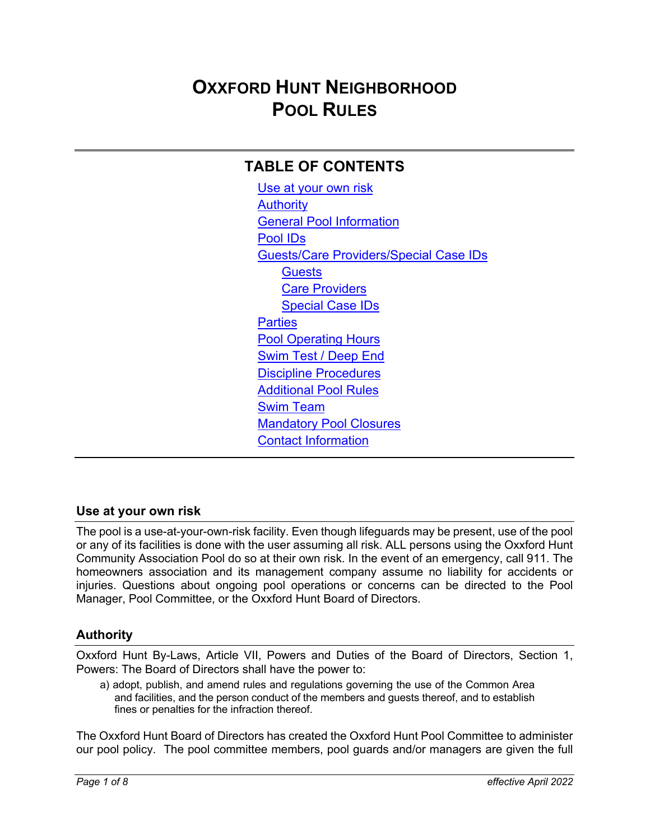# **OXXFORD HUNT NEIGHBORHOOD POOL RULES**

# **TABLE OF CONTENTS**

Use at your own risk **Authority** General Pool Information Pool IDs Guests/Care Providers/Special Case IDs **Guests** Care Providers Special Case IDs **Parties** Pool Operating Hours Swim Test / Deep End Discipline Procedures Additional Pool Rules Swim Team Mandatory Pool Closures Contact Information

## **Use at your own risk**

The pool is a use-at-your-own-risk facility. Even though lifeguards may be present, use of the pool or any of its facilities is done with the user assuming all risk. ALL persons using the Oxxford Hunt Community Association Pool do so at their own risk. In the event of an emergency, call 911. The homeowners association and its management company assume no liability for accidents or injuries. Questions about ongoing pool operations or concerns can be directed to the Pool Manager, Pool Committee, or the Oxxford Hunt Board of Directors.

## **Authority**

Oxxford Hunt By-Laws, Article VII, Powers and Duties of the Board of Directors, Section 1, Powers: The Board of Directors shall have the power to:

a) adopt, publish, and amend rules and regulations governing the use of the Common Area and facilities, and the person conduct of the members and guests thereof, and to establish fines or penalties for the infraction thereof.

The Oxxford Hunt Board of Directors has created the Oxxford Hunt Pool Committee to administer our pool policy. The pool committee members, pool guards and/or managers are given the full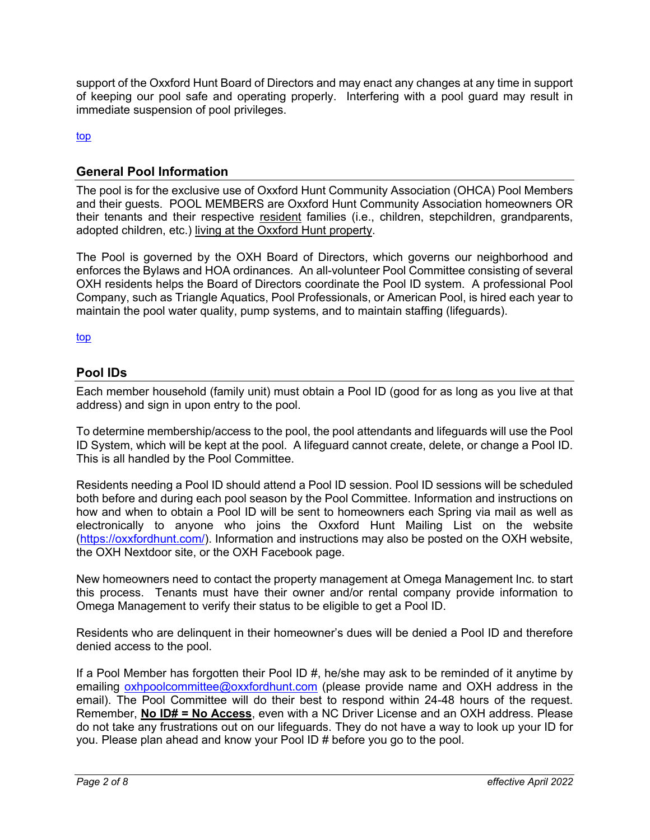support of the Oxxford Hunt Board of Directors and may enact any changes at any time in support of keeping our pool safe and operating properly. Interfering with a pool guard may result in immediate suspension of pool privileges.

top

#### **General Pool Information**

The pool is for the exclusive use of Oxxford Hunt Community Association (OHCA) Pool Members and their guests. POOL MEMBERS are Oxxford Hunt Community Association homeowners OR their tenants and their respective resident families (i.e., children, stepchildren, grandparents, adopted children, etc.) living at the Oxxford Hunt property.

The Pool is governed by the OXH Board of Directors, which governs our neighborhood and enforces the Bylaws and HOA ordinances. An all-volunteer Pool Committee consisting of several OXH residents helps the Board of Directors coordinate the Pool ID system. A professional Pool Company, such as Triangle Aquatics, Pool Professionals, or American Pool, is hired each year to maintain the pool water quality, pump systems, and to maintain staffing (lifeguards).

top

## **Pool IDs**

Each member household (family unit) must obtain a Pool ID (good for as long as you live at that address) and sign in upon entry to the pool.

To determine membership/access to the pool, the pool attendants and lifeguards will use the Pool ID System, which will be kept at the pool. A lifeguard cannot create, delete, or change a Pool ID. This is all handled by the Pool Committee.

Residents needing a Pool ID should attend a Pool ID session. Pool ID sessions will be scheduled both before and during each pool season by the Pool Committee. Information and instructions on how and when to obtain a Pool ID will be sent to homeowners each Spring via mail as well as electronically to anyone who joins the Oxxford Hunt Mailing List on the website (https://oxxfordhunt.com/). Information and instructions may also be posted on the OXH website, the OXH Nextdoor site, or the OXH Facebook page.

New homeowners need to contact the property management at Omega Management Inc. to start this process. Tenants must have their owner and/or rental company provide information to Omega Management to verify their status to be eligible to get a Pool ID.

Residents who are delinquent in their homeowner's dues will be denied a Pool ID and therefore denied access to the pool.

If a Pool Member has forgotten their Pool ID #, he/she may ask to be reminded of it anytime by emailing oxhpoolcommittee@oxxfordhunt.com (please provide name and OXH address in the email). The Pool Committee will do their best to respond within 24-48 hours of the request. Remember, **No ID# = No Access**, even with a NC Driver License and an OXH address. Please do not take any frustrations out on our lifeguards. They do not have a way to look up your ID for you. Please plan ahead and know your Pool ID # before you go to the pool.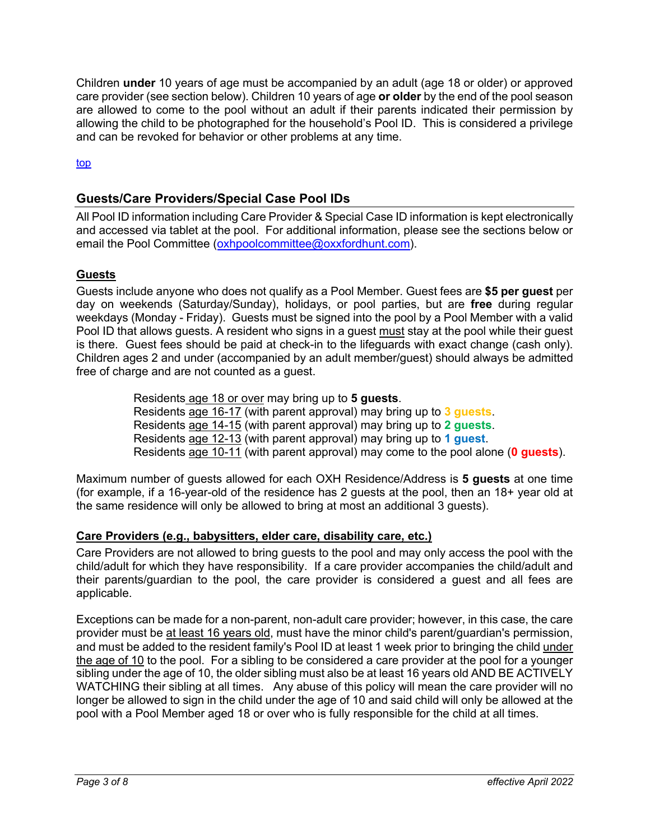Children **under** 10 years of age must be accompanied by an adult (age 18 or older) or approved care provider (see section below). Children 10 years of age **or older** by the end of the pool season are allowed to come to the pool without an adult if their parents indicated their permission by allowing the child to be photographed for the household's Pool ID. This is considered a privilege and can be revoked for behavior or other problems at any time.

top

## **Guests/Care Providers/Special Case Pool IDs**

All Pool ID information including Care Provider & Special Case ID information is kept electronically and accessed via tablet at the pool. For additional information, please see the sections below or email the Pool Committee (oxhpoolcommittee@oxxfordhunt.com).

#### **Guests**

Guests include anyone who does not qualify as a Pool Member. Guest fees are **\$5 per guest** per day on weekends (Saturday/Sunday), holidays, or pool parties, but are **free** during regular weekdays (Monday - Friday). Guests must be signed into the pool by a Pool Member with a valid Pool ID that allows guests. A resident who signs in a guest must stay at the pool while their guest is there. Guest fees should be paid at check-in to the lifeguards with exact change (cash only). Children ages 2 and under (accompanied by an adult member/guest) should always be admitted free of charge and are not counted as a guest.

> Residents age 18 or over may bring up to **5 guests**. Residents age 16-17 (with parent approval) may bring up to **3 guests**. Residents age 14-15 (with parent approval) may bring up to **2 guests**. Residents age 12-13 (with parent approval) may bring up to **1 guest**. Residents age 10-11 (with parent approval) may come to the pool alone (**0 guests**).

Maximum number of guests allowed for each OXH Residence/Address is **5 guests** at one time (for example, if a 16-year-old of the residence has 2 guests at the pool, then an 18+ year old at the same residence will only be allowed to bring at most an additional 3 guests).

#### **Care Providers (e.g., babysitters, elder care, disability care, etc.)**

Care Providers are not allowed to bring guests to the pool and may only access the pool with the child/adult for which they have responsibility. If a care provider accompanies the child/adult and their parents/guardian to the pool, the care provider is considered a guest and all fees are applicable.

Exceptions can be made for a non-parent, non-adult care provider; however, in this case, the care provider must be at least 16 years old, must have the minor child's parent/guardian's permission, and must be added to the resident family's Pool ID at least 1 week prior to bringing the child under the age of 10 to the pool. For a sibling to be considered a care provider at the pool for a younger sibling under the age of 10, the older sibling must also be at least 16 years old AND BE ACTIVELY WATCHING their sibling at all times. Any abuse of this policy will mean the care provider will no longer be allowed to sign in the child under the age of 10 and said child will only be allowed at the pool with a Pool Member aged 18 or over who is fully responsible for the child at all times.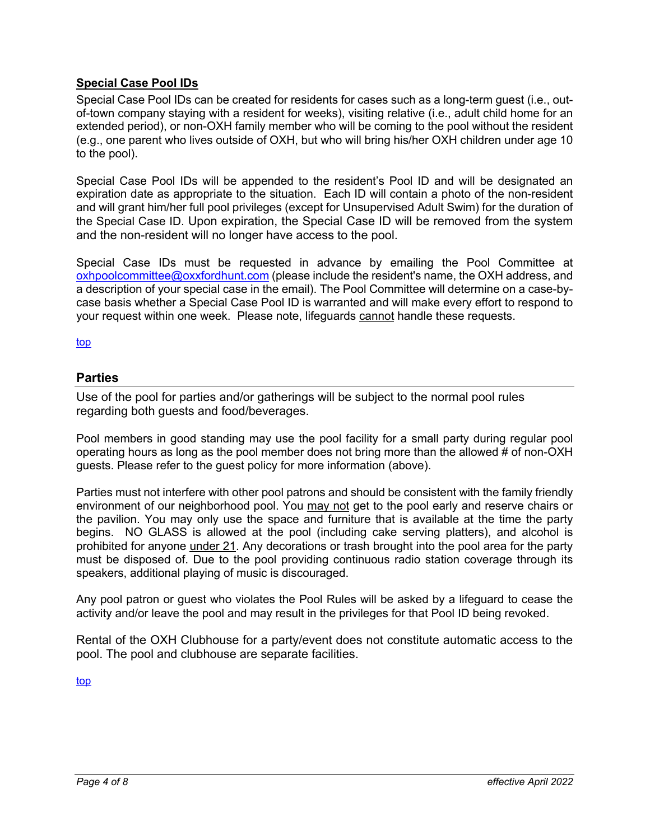#### **Special Case Pool IDs**

Special Case Pool IDs can be created for residents for cases such as a long-term guest (i.e., outof-town company staying with a resident for weeks), visiting relative (i.e., adult child home for an extended period), or non-OXH family member who will be coming to the pool without the resident (e.g., one parent who lives outside of OXH, but who will bring his/her OXH children under age 10 to the pool).

Special Case Pool IDs will be appended to the resident's Pool ID and will be designated an expiration date as appropriate to the situation. Each ID will contain a photo of the non-resident and will grant him/her full pool privileges (except for Unsupervised Adult Swim) for the duration of the Special Case ID. Upon expiration, the Special Case ID will be removed from the system and the non-resident will no longer have access to the pool.

Special Case IDs must be requested in advance by emailing the Pool Committee at oxhpoolcommittee@oxxfordhunt.com (please include the resident's name, the OXH address, and a description of your special case in the email). The Pool Committee will determine on a case-bycase basis whether a Special Case Pool ID is warranted and will make every effort to respond to your request within one week. Please note, lifeguards cannot handle these requests.

top

#### **Parties**

Use of the pool for parties and/or gatherings will be subject to the normal pool rules regarding both guests and food/beverages.

Pool members in good standing may use the pool facility for a small party during regular pool operating hours as long as the pool member does not bring more than the allowed # of non-OXH guests. Please refer to the guest policy for more information (above).

Parties must not interfere with other pool patrons and should be consistent with the family friendly environment of our neighborhood pool. You may not get to the pool early and reserve chairs or the pavilion. You may only use the space and furniture that is available at the time the party begins. NO GLASS is allowed at the pool (including cake serving platters), and alcohol is prohibited for anyone under 21. Any decorations or trash brought into the pool area for the party must be disposed of. Due to the pool providing continuous radio station coverage through its speakers, additional playing of music is discouraged.

Any pool patron or guest who violates the Pool Rules will be asked by a lifeguard to cease the activity and/or leave the pool and may result in the privileges for that Pool ID being revoked.

Rental of the OXH Clubhouse for a party/event does not constitute automatic access to the pool. The pool and clubhouse are separate facilities.

top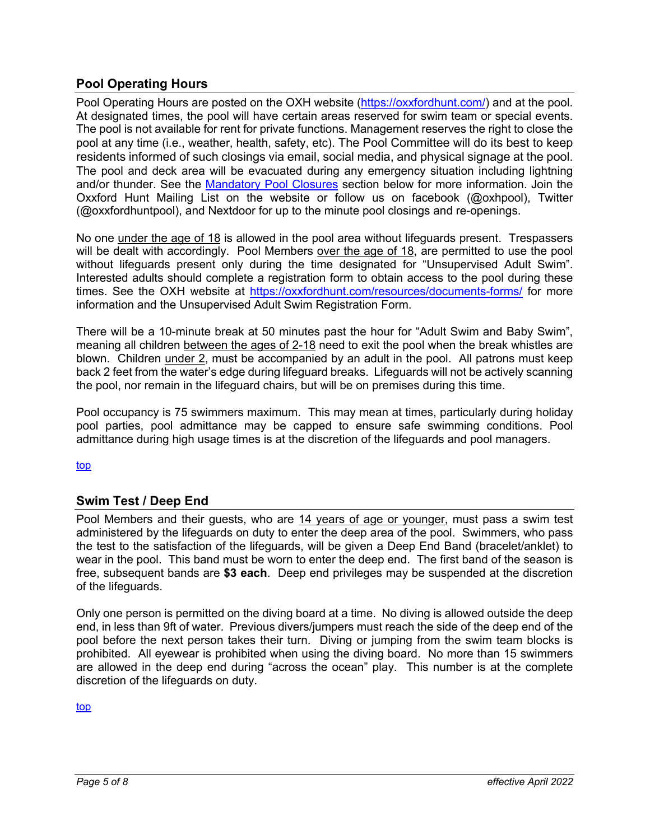## **Pool Operating Hours**

Pool Operating Hours are posted on the OXH website (https://oxxfordhunt.com/) and at the pool. At designated times, the pool will have certain areas reserved for swim team or special events. The pool is not available for rent for private functions. Management reserves the right to close the pool at any time (i.e., weather, health, safety, etc). The Pool Committee will do its best to keep residents informed of such closings via email, social media, and physical signage at the pool. The pool and deck area will be evacuated during any emergency situation including lightning and/or thunder. See the Mandatory Pool Closures section below for more information. Join the Oxxford Hunt Mailing List on the website or follow us on facebook (@oxhpool), Twitter (@oxxfordhuntpool), and Nextdoor for up to the minute pool closings and re-openings.

No one under the age of 18 is allowed in the pool area without lifeguards present. Trespassers will be dealt with accordingly. Pool Members over the age of 18, are permitted to use the pool without lifeguards present only during the time designated for "Unsupervised Adult Swim". Interested adults should complete a registration form to obtain access to the pool during these times. See the OXH website at https://oxxfordhunt.com/resources/documents-forms/ for more information and the Unsupervised Adult Swim Registration Form.

There will be a 10-minute break at 50 minutes past the hour for "Adult Swim and Baby Swim", meaning all children between the ages of 2-18 need to exit the pool when the break whistles are blown. Children under 2, must be accompanied by an adult in the pool. All patrons must keep back 2 feet from the water's edge during lifeguard breaks. Lifeguards will not be actively scanning the pool, nor remain in the lifeguard chairs, but will be on premises during this time.

Pool occupancy is 75 swimmers maximum. This may mean at times, particularly during holiday pool parties, pool admittance may be capped to ensure safe swimming conditions. Pool admittance during high usage times is at the discretion of the lifeguards and pool managers.

top

## **Swim Test / Deep End**

Pool Members and their guests, who are 14 years of age or younger, must pass a swim test administered by the lifeguards on duty to enter the deep area of the pool. Swimmers, who pass the test to the satisfaction of the lifeguards, will be given a Deep End Band (bracelet/anklet) to wear in the pool. This band must be worn to enter the deep end. The first band of the season is free, subsequent bands are **\$3 each**. Deep end privileges may be suspended at the discretion of the lifeguards.

Only one person is permitted on the diving board at a time. No diving is allowed outside the deep end, in less than 9ft of water. Previous divers/jumpers must reach the side of the deep end of the pool before the next person takes their turn. Diving or jumping from the swim team blocks is prohibited. All eyewear is prohibited when using the diving board. No more than 15 swimmers are allowed in the deep end during "across the ocean" play. This number is at the complete discretion of the lifeguards on duty.

top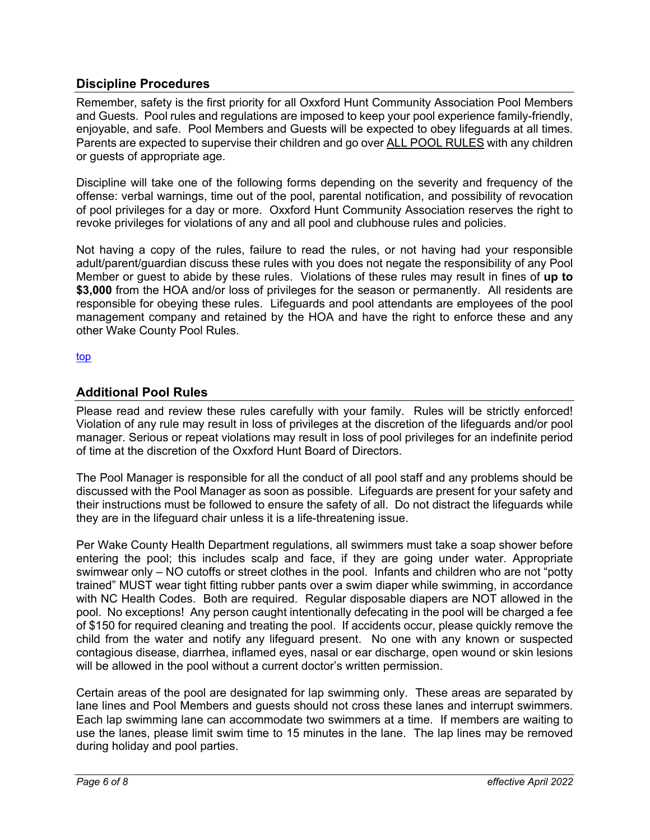## **Discipline Procedures**

Remember, safety is the first priority for all Oxxford Hunt Community Association Pool Members and Guests. Pool rules and regulations are imposed to keep your pool experience family-friendly, enjoyable, and safe. Pool Members and Guests will be expected to obey lifeguards at all times. Parents are expected to supervise their children and go over ALL POOL RULES with any children or guests of appropriate age.

Discipline will take one of the following forms depending on the severity and frequency of the offense: verbal warnings, time out of the pool, parental notification, and possibility of revocation of pool privileges for a day or more. Oxxford Hunt Community Association reserves the right to revoke privileges for violations of any and all pool and clubhouse rules and policies.

Not having a copy of the rules, failure to read the rules, or not having had your responsible adult/parent/guardian discuss these rules with you does not negate the responsibility of any Pool Member or guest to abide by these rules. Violations of these rules may result in fines of **up to \$3,000** from the HOA and/or loss of privileges for the season or permanently. All residents are responsible for obeying these rules. Lifeguards and pool attendants are employees of the pool management company and retained by the HOA and have the right to enforce these and any other Wake County Pool Rules.

top

## **Additional Pool Rules**

Please read and review these rules carefully with your family. Rules will be strictly enforced! Violation of any rule may result in loss of privileges at the discretion of the lifeguards and/or pool manager. Serious or repeat violations may result in loss of pool privileges for an indefinite period of time at the discretion of the Oxxford Hunt Board of Directors.

The Pool Manager is responsible for all the conduct of all pool staff and any problems should be discussed with the Pool Manager as soon as possible. Lifeguards are present for your safety and their instructions must be followed to ensure the safety of all. Do not distract the lifeguards while they are in the lifeguard chair unless it is a life-threatening issue.

Per Wake County Health Department regulations, all swimmers must take a soap shower before entering the pool; this includes scalp and face, if they are going under water. Appropriate swimwear only – NO cutoffs or street clothes in the pool. Infants and children who are not "potty trained" MUST wear tight fitting rubber pants over a swim diaper while swimming, in accordance with NC Health Codes. Both are required. Regular disposable diapers are NOT allowed in the pool. No exceptions! Any person caught intentionally defecating in the pool will be charged a fee of \$150 for required cleaning and treating the pool. If accidents occur, please quickly remove the child from the water and notify any lifeguard present. No one with any known or suspected contagious disease, diarrhea, inflamed eyes, nasal or ear discharge, open wound or skin lesions will be allowed in the pool without a current doctor's written permission.

Certain areas of the pool are designated for lap swimming only. These areas are separated by lane lines and Pool Members and guests should not cross these lanes and interrupt swimmers. Each lap swimming lane can accommodate two swimmers at a time. If members are waiting to use the lanes, please limit swim time to 15 minutes in the lane. The lap lines may be removed during holiday and pool parties.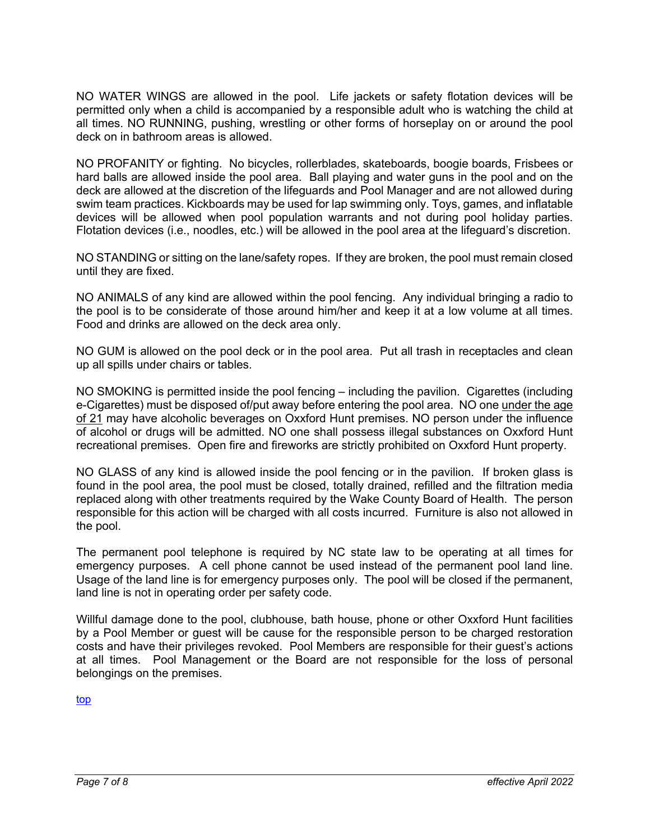NO WATER WINGS are allowed in the pool. Life jackets or safety flotation devices will be permitted only when a child is accompanied by a responsible adult who is watching the child at all times. NO RUNNING, pushing, wrestling or other forms of horseplay on or around the pool deck on in bathroom areas is allowed.

NO PROFANITY or fighting. No bicycles, rollerblades, skateboards, boogie boards, Frisbees or hard balls are allowed inside the pool area. Ball playing and water guns in the pool and on the deck are allowed at the discretion of the lifeguards and Pool Manager and are not allowed during swim team practices. Kickboards may be used for lap swimming only. Toys, games, and inflatable devices will be allowed when pool population warrants and not during pool holiday parties. Flotation devices (i.e., noodles, etc.) will be allowed in the pool area at the lifeguard's discretion.

NO STANDING or sitting on the lane/safety ropes. If they are broken, the pool must remain closed until they are fixed.

NO ANIMALS of any kind are allowed within the pool fencing. Any individual bringing a radio to the pool is to be considerate of those around him/her and keep it at a low volume at all times. Food and drinks are allowed on the deck area only.

NO GUM is allowed on the pool deck or in the pool area. Put all trash in receptacles and clean up all spills under chairs or tables.

NO SMOKING is permitted inside the pool fencing – including the pavilion. Cigarettes (including e-Cigarettes) must be disposed of/put away before entering the pool area. NO one under the age of 21 may have alcoholic beverages on Oxxford Hunt premises. NO person under the influence of alcohol or drugs will be admitted. NO one shall possess illegal substances on Oxxford Hunt recreational premises. Open fire and fireworks are strictly prohibited on Oxxford Hunt property.

NO GLASS of any kind is allowed inside the pool fencing or in the pavilion. If broken glass is found in the pool area, the pool must be closed, totally drained, refilled and the filtration media replaced along with other treatments required by the Wake County Board of Health. The person responsible for this action will be charged with all costs incurred. Furniture is also not allowed in the pool.

The permanent pool telephone is required by NC state law to be operating at all times for emergency purposes. A cell phone cannot be used instead of the permanent pool land line. Usage of the land line is for emergency purposes only. The pool will be closed if the permanent, land line is not in operating order per safety code.

Willful damage done to the pool, clubhouse, bath house, phone or other Oxxford Hunt facilities by a Pool Member or guest will be cause for the responsible person to be charged restoration costs and have their privileges revoked. Pool Members are responsible for their guest's actions at all times. Pool Management or the Board are not responsible for the loss of personal belongings on the premises.

top